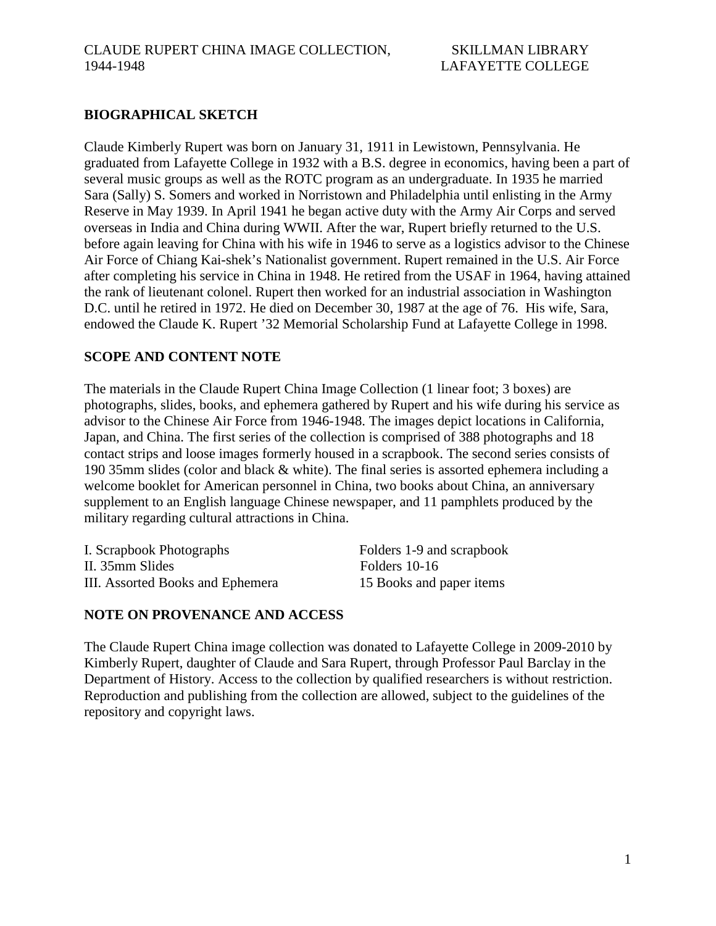### **BIOGRAPHICAL SKETCH**

Claude Kimberly Rupert was born on January 31, 1911 in Lewistown, Pennsylvania. He graduated from Lafayette College in 1932 with a B.S. degree in economics, having been a part of several music groups as well as the ROTC program as an undergraduate. In 1935 he married Sara (Sally) S. Somers and worked in Norristown and Philadelphia until enlisting in the Army Reserve in May 1939. In April 1941 he began active duty with the Army Air Corps and served overseas in India and China during WWII. After the war, Rupert briefly returned to the U.S. before again leaving for China with his wife in 1946 to serve as a logistics advisor to the Chinese Air Force of Chiang Kai-shek's Nationalist government. Rupert remained in the U.S. Air Force after completing his service in China in 1948. He retired from the USAF in 1964, having attained the rank of lieutenant colonel. Rupert then worked for an industrial association in Washington D.C. until he retired in 1972. He died on December 30, 1987 at the age of 76. His wife, Sara, endowed the Claude K. Rupert '32 Memorial Scholarship Fund at Lafayette College in 1998.

#### **SCOPE AND CONTENT NOTE**

The materials in the Claude Rupert China Image Collection (1 linear foot; 3 boxes) are photographs, slides, books, and ephemera gathered by Rupert and his wife during his service as advisor to the Chinese Air Force from 1946-1948. The images depict locations in California, Japan, and China. The first series of the collection is comprised of 388 photographs and 18 contact strips and loose images formerly housed in a scrapbook. The second series consists of 190 35mm slides (color and black & white). The final series is assorted ephemera including a welcome booklet for American personnel in China, two books about China, an anniversary supplement to an English language Chinese newspaper, and 11 pamphlets produced by the military regarding cultural attractions in China.

I. Scrapbook Photographs Folders 1-9 and scrapbook II. 35mm Slides Folders 10-16 III. Assorted Books and Ephemera 15 Books and paper items

#### **NOTE ON PROVENANCE AND ACCESS**

The Claude Rupert China image collection was donated to Lafayette College in 2009-2010 by Kimberly Rupert, daughter of Claude and Sara Rupert, through Professor Paul Barclay in the Department of History. Access to the collection by qualified researchers is without restriction. Reproduction and publishing from the collection are allowed, subject to the guidelines of the repository and copyright laws.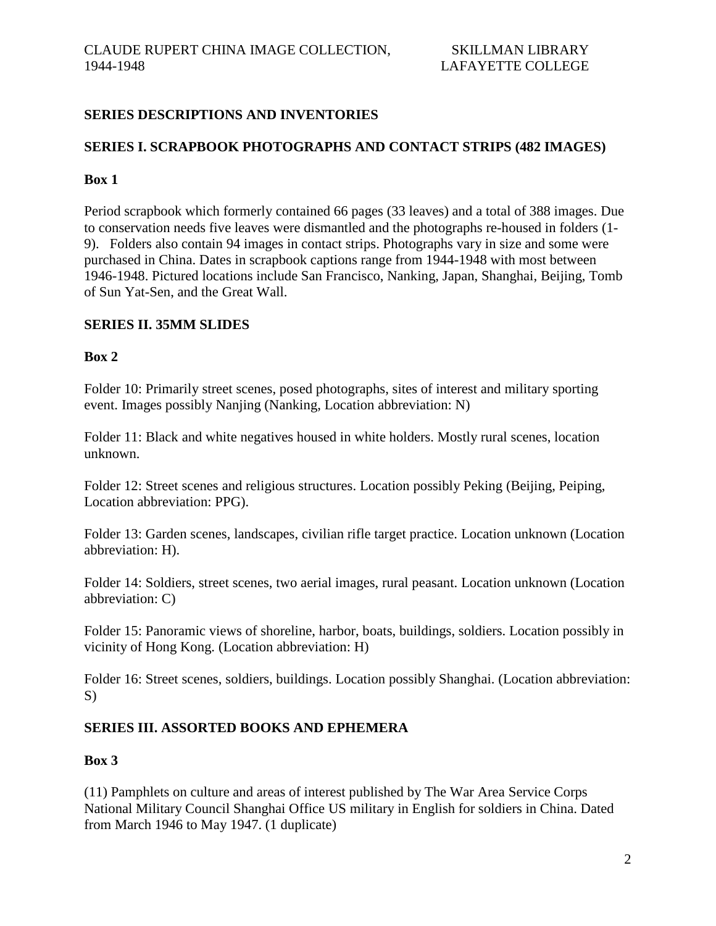# **SERIES DESCRIPTIONS AND INVENTORIES**

### **SERIES I. SCRAPBOOK PHOTOGRAPHS AND CONTACT STRIPS (482 IMAGES)**

#### **Box 1**

Period scrapbook which formerly contained 66 pages (33 leaves) and a total of 388 images. Due to conservation needs five leaves were dismantled and the photographs re-housed in folders (1- 9). Folders also contain 94 images in contact strips. Photographs vary in size and some were purchased in China. Dates in scrapbook captions range from 1944-1948 with most between 1946-1948. Pictured locations include San Francisco, Nanking, Japan, Shanghai, Beijing, Tomb of Sun Yat-Sen, and the Great Wall.

# **SERIES II. 35MM SLIDES**

#### **Box 2**

Folder 10: Primarily street scenes, posed photographs, sites of interest and military sporting event. Images possibly Nanjing (Nanking, Location abbreviation: N)

Folder 11: Black and white negatives housed in white holders. Mostly rural scenes, location unknown.

Folder 12: Street scenes and religious structures. Location possibly Peking (Beijing, Peiping, Location abbreviation: PPG).

Folder 13: Garden scenes, landscapes, civilian rifle target practice. Location unknown (Location abbreviation: H).

Folder 14: Soldiers, street scenes, two aerial images, rural peasant. Location unknown (Location abbreviation: C)

Folder 15: Panoramic views of shoreline, harbor, boats, buildings, soldiers. Location possibly in vicinity of Hong Kong. (Location abbreviation: H)

Folder 16: Street scenes, soldiers, buildings. Location possibly Shanghai. (Location abbreviation: S)

# **SERIES III. ASSORTED BOOKS AND EPHEMERA**

#### **Box 3**

(11) Pamphlets on culture and areas of interest published by The War Area Service Corps National Military Council Shanghai Office US military in English for soldiers in China. Dated from March 1946 to May 1947. (1 duplicate)